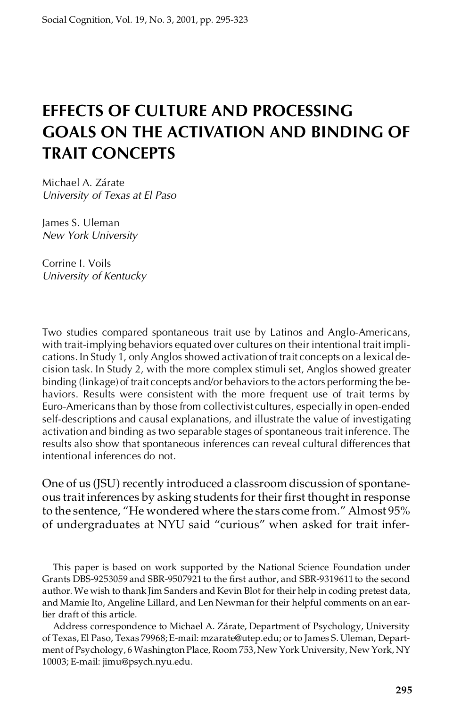# **EFFECTS OF CULTURE AND PROCESSING GOALS ON THE ACTIVATION AND BINDING OF TRAIT CONCEPTS**

Michael A. Zárate *University of Texas at El Paso*

James S. Uleman *New York University*

Corrine I. Voils *University of Kentucky*

Two studies compared spontaneous trait use by Latinos and Anglo-Americans, with trait-implying behaviors equated over cultures on their intentional trait implications. In Study 1, only Anglos showed activationof trait concepts on a lexical decision task. In Study 2, with the more complex stimuli set, Anglos showed greater binding (linkage) of trait concepts and/or behaviors to the actors performing the behaviors. Results were consistent with the more frequent use of trait terms by Euro-Americansthan by those from collectivist cultures, especially in open-ended self-descriptions and causal explanations, and illustrate the value of investigating activation and binding as two separable stages of spontaneous trait inference. The results also show that spontaneous inferences can reveal cultural differences that intentional inferences do not.

One of us (JSU) recently introduced a classroom discussion of spontaneous trait inferences by asking students for their first thought in response to the sentence, "He wondered where the stars come from." Almost 95% of undergraduates at NYU said "curious" when asked for trait infer-

This paper is based on work supported by the National Science Foundation under Grants DBS-9253059 and SBR-9507921 to the first author, and SBR-9319611 to the second author. We wish to thank Jim Sanders and Kevin Blot for their help in coding pretest data, and Mamie Ito, Angeline Lillard, and Len Newman for their helpful comments on an earlier draft of this article.

Address correspondence to Michael A. Zárate, Department of Psychology, University of Texas, El Paso, Texas 79968; E-mail: mzarate@utep.edu; or to James S. Uleman, Department of Psychology, 6 Washington Place, Room 753,New York University, New York, NY 10003; E-mail: jimu@psych.nyu.edu.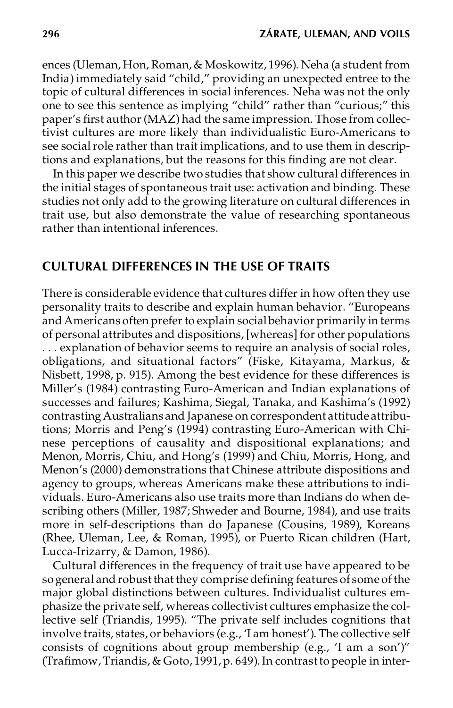ences (Uleman, Hon, Roman, & Moskowitz, 1996). Neha (a student from India) immediately said "child," providing an unexpected entree to the topic of cultural differences in social inferences. Neha was not the only one to see this sentence as implying "child" rather than "curious;" this paper's first author(MAZ) had the same impression. Those from collectivist cultures are more likely than individualistic Euro-Americans to see social role rather than trait implications, and to use them in descriptions and explanations, but the reasons for this finding are not clear.

In this paper we describe two studies that show cultural differences in the initial stages of spontaneous trait use: activation and binding. These studies not only add to the growing literature on cultural differences in trait use, but also demonstrate the value of researching spontaneous rather than intentional inferences.

# **CULTURAL DIFFERENCES IN THE USE OF TRAITS**

There is considerable evidence that cultures differ in how often they use personality traits to describe and explain human behavior. "Europeans and Americans often prefer to explain social behavior primarily in terms of personal attributes and dispositions, [whereas] for other populations . . . explanation of behavior seems to require an analysis of social roles, obligations, and situational factors" (Fiske, Kitayama, Markus, & Nisbett, 1998, p. 915). Among the best evidence for these differences is Miller's (1984) contrasting Euro-American and Indian explanations of successes and failures; Kashima, Siegal, Tanaka, and Kashima's (1992) contrastingAustralians and Japanese on correspondent attitude attributions; Morris and Peng's (1994) contrasting Euro-American with Chinese perceptions of causality and dispositional explanations; and Menon, Morris, Chiu, and Hong's (1999) and Chiu, Morris, Hong, and Menon's (2000) demonstrations that Chinese attribute dispositions and agency to groups, whereas Americans make these attributions to individuals. Euro-Americans also use traits more than Indians do when describing others (Miller, 1987; Shweder and Bourne, 1984), and use traits more in self-descriptions than do Japanese (Cousins, 1989), Koreans (Rhee, Uleman, Lee, & Roman, 1995), or Puerto Rican children (Hart, Lucca-Irizarry, & Damon, 1986).

Cultural differences in the frequency of trait use have appeared to be so general and robust that they comprise defining features of some of the major global distinctions between cultures. Individualist cultures emphasize the private self, whereas collectivist cultures emphasize the collective self (Triandis, 1995). "The private self includes cognitions that involve traits, states, or behaviors (e.g., 'I am honest'). The collective self consists of cognitions about group membership (e.g., 'I am a son')" (Trafimow, Triandis, & Goto, 1991, p. 649).In contrastto people in inter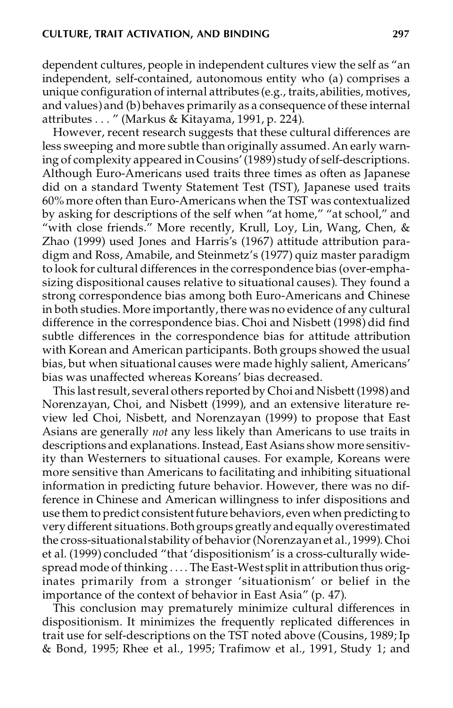dependent cultures, people in independent cultures view the self as "an independent, self-contained, autonomous entity who (a) comprises a unique configuration of internal attributes (e.g., traits, abilities, motives, and values) and (b) behaves primarily as a consequence of these internal attributes . . . " (Markus & Kitayama, 1991, p. 224).

However, recent research suggests that these cultural differences are less sweeping and more subtle than originally assumed. An early warning of complexity appeared in Cousins'(1989) study of self-descriptions. Although Euro-Americans used traits three times as often as Japanese did on a standard Twenty Statement Test (TST), Japanese used traits 60% more often than Euro-Americans when the TST was contextualized by asking for descriptions of the self when "at home," "at school," and "with close friends." More recently, Krull, Loy, Lin, Wang, Chen, & Zhao (1999) used Jones and Harris's (1967) attitude attribution paradigm and Ross, Amabile, and Steinmetz's (1977) quiz master paradigm to look for cultural differences in the correspondence bias (over-emphasizing dispositional causes relative to situational causes). They found a strong correspondence bias among both Euro-Americans and Chinese in both studies. More importantly, there was no evidence of any cultural difference in the correspondence bias. Choi and Nisbett (1998) did find subtle differences in the correspondence bias for attitude attribution with Korean and American participants. Both groups showed the usual bias, but when situational causes were made highly salient, Americans' bias was unaffected whereas Koreans' bias decreased.

This lastresult, several others reported by Choi and Nisbett (1998) and Norenzayan, Choi, and Nisbett (1999), and an extensive literature review led Choi, Nisbett, and Norenzayan (1999) to propose that East Asians are generally *not* any less likely than Americans to use traits in descriptions and explanations.Instead, East Asians show more sensitivity than Westerners to situational causes. For example, Koreans were more sensitive than Americans to facilitating and inhibiting situational information in predicting future behavior. However, there was no difference in Chinese and American willingness to infer dispositions and use them to predict consistent future behaviors, even when predicting to verydifferent situations.Bothgroups greatly andequally overestimated the cross-situationalstability of behavior(Norenzayan et al., 1999). Choi et al. (1999) concluded "that 'dispositionism' is a cross-culturally widespread mode of thinking .... The East-West split in attribution thus originates primarily from a stronger 'situationism' or belief in the importance of the context of behavior in East Asia" (p. 47).

This conclusion may prematurely minimize cultural differences in dispositionism. It minimizes the frequently replicated differences in trait use for self-descriptions on the TST noted above (Cousins, 1989; Ip & Bond, 1995; Rhee et al., 1995; Trafimow et al., 1991, Study 1; and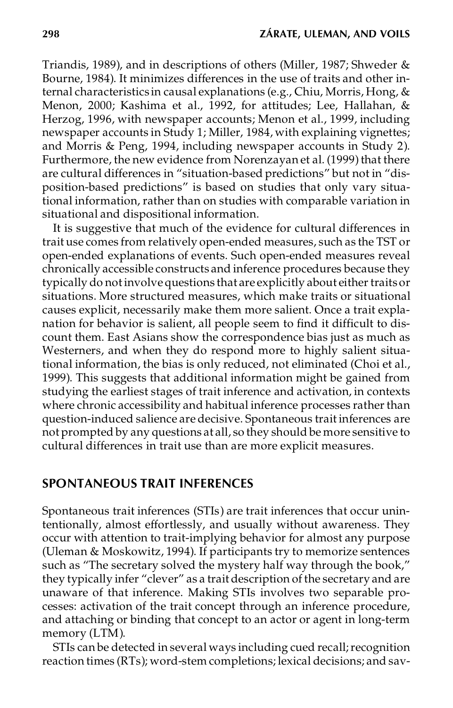Triandis, 1989), and in descriptions of others (Miller, 1987; Shweder & Bourne, 1984). It minimizes differences in the use of traits and other internal characteristics in causal explanations (e.g., Chiu, Morris, Hong, & Menon, 2000; Kashima et al., 1992, for attitudes; Lee, Hallahan, & Herzog, 1996, with newspaper accounts; Menon et al., 1999, including newspaper accounts in Study 1; Miller, 1984, with explaining vignettes; and Morris & Peng, 1994, including newspaper accounts in Study 2). Furthermore, the new evidence from Norenzayan et al. (1999) that there are cultural differences in "situation-based predictions" but not in "disposition-based predictions" is based on studies that only vary situational information, rather than on studies with comparable variation in situational and dispositional information.

It is suggestive that much of the evidence for cultural differences in trait use comes from relatively open-ended measures, such as the TST or open-ended explanations of events. Such open-ended measures reveal chronically accessible constructs and inference procedures because they typically do not involve questions that are explicitly about either traits or situations. More structured measures, which make traits or situational causes explicit, necessarily make them more salient. Once a trait explanation for behavior is salient, all people seem to find it difficult to discount them. East Asians show the correspondence bias just as much as Westerners, and when they do respond more to highly salient situational information, the bias is only reduced, not eliminated (Choi et al., 1999). This suggests that additional information might be gained from studying the earliest stages of trait inference and activation, in contexts where chronic accessibility and habitual inference processes rather than question-induced salience are decisive. Spontaneous traitinferences are not prompted by any questions at all, so they should be more sensitive to cultural differences in trait use than are more explicit measures.

# **SPONTANEOUS TRAIT INFERENCES**

Spontaneous trait inferences (STIs) are trait inferences that occur unintentionally, almost effortlessly, and usually without awareness. They occur with attention to trait-implying behavior for almost any purpose (Uleman & Moskowitz, 1994). If participants try to memorize sentences such as "The secretary solved the mystery half way through the book," they typically infer "clever" as a trait description of the secretary and are unaware of that inference. Making STIs involves two separable processes: activation of the trait concept through an inference procedure, and attaching or binding that concept to an actor or agent in long-term memory (LTM).

STIs can be detected in several ways including cued recall;recognition reaction times (RTs); word-stem completions; lexical decisions; and sav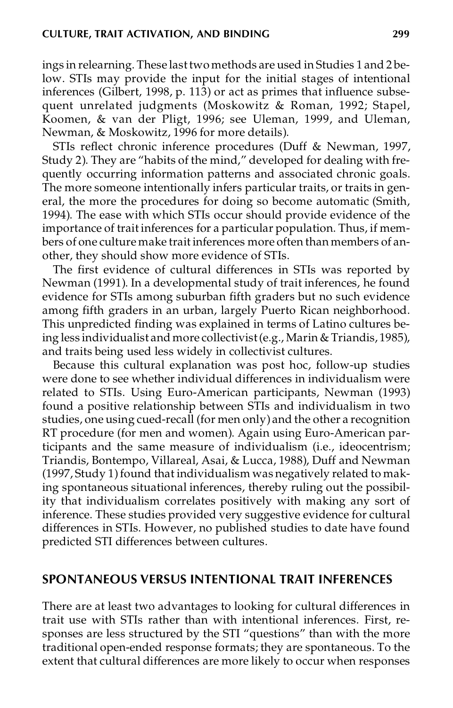ings in relearning. These lasttwo methods are used in Studies 1 and 2 below. STIs may provide the input for the initial stages of intentional inferences (Gilbert, 1998, p. 113) or act as primes that influence subsequent unrelated judgments (Moskowitz & Roman, 1992; Stapel, Koomen, & van der Pligt, 1996; see Uleman, 1999, and Uleman, Newman, & Moskowitz, 1996 for more details).

STIs reflect chronic inference procedures (Duff & Newman, 1997, Study 2). They are "habits of the mind," developed for dealing with frequently occurring information patterns and associated chronic goals. The more someone intentionally infers particular traits, or traits in general, the more the procedures for doing so become automatic (Smith, 1994). The ease with which STIs occur should provide evidence of the importance of traitinferences for a particular population. Thus, if members of one culture make trait inferences more often than members of another, they should show more evidence of STIs.

The first evidence of cultural differences in STIs was reported by Newman (1991). In a developmental study of trait inferences, he found evidence for STIs among suburban fifth graders but no such evidence among fifth graders in an urban, largely Puerto Rican neighborhood. This unpredicted finding was explained in terms of Latino cultures being less individualist and more collectivist(e.g., Marin & Triandis, 1985), and traits being used less widely in collectivist cultures.

Because this cultural explanation was post hoc, follow-up studies were done to see whether individual differences in individualism were related to STIs. Using Euro-American participants, Newman (1993) found a positive relationship between STIs and individualism in two studies, one using cued-recall (for men only) and the other a recognition RT procedure (for men and women). Again using Euro-American participants and the same measure of individualism (i.e., ideocentrism; Triandis, Bontempo, Villareal, Asai, & Lucca, 1988), Duff and Newman (1997, Study 1) found that individualism was negatively related to making spontaneous situational inferences, thereby ruling out the possibility that individualism correlates positively with making any sort of inference. These studies provided very suggestive evidence for cultural differences in STIs. However, no published studies to date have found predicted STI differences between cultures.

# **SPONTANEOUS VERSUS INTENTIONAL TRAIT INFERENCES**

There are at least two advantages to looking for cultural differences in trait use with STIs rather than with intentional inferences. First, responses are less structured by the STI "questions" than with the more traditional open-ended response formats; they are spontaneous. To the extent that cultural differences are more likely to occur when responses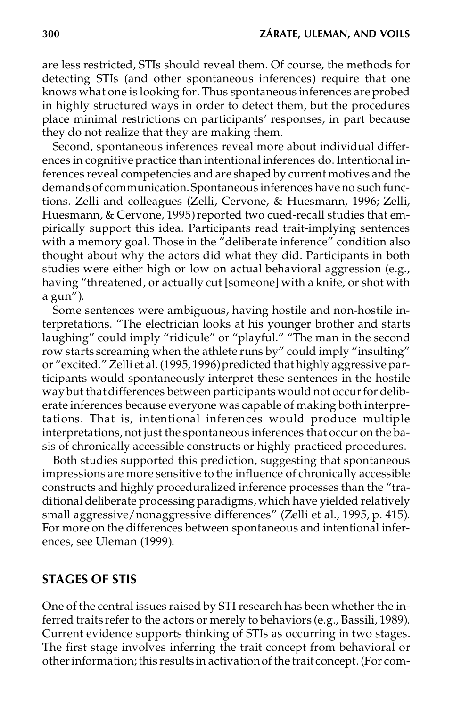are less restricted, STIs should reveal them. Of course, the methods for detecting STIs (and other spontaneous inferences) require that one knows what one is looking for. Thus spontaneous inferences are probed in highly structured ways in order to detect them, but the procedures place minimal restrictions on participants' responses, in part because they do not realize that they are making them.

Second, spontaneous inferences reveal more about individual differences in cognitive practice than intentional inferences do. Intentional inferences reveal competencies and are shaped by current motives and the demands of communication.Spontaneous inferences haveno such functions. Zelli and colleagues (Zelli, Cervone, & Huesmann, 1996; Zelli, Huesmann, & Cervone, 1995) reported two cued-recall studies that empirically support this idea. Participants read trait-implying sentences with a memory goal. Those in the "deliberate inference" condition also thought about why the actors did what they did. Participants in both studies were either high or low on actual behavioral aggression (e.g., having "threatened, or actually cut [someone] with a knife, or shot with a gun").

Some sentences were ambiguous, having hostile and non-hostile interpretations. "The electrician looks at his younger brother and starts laughing" could imply "ridicule" or "playful." "The man in the second row starts screaming when the athlete runs by" could imply "insulting" or "excited." Zelli et al. (1995, 1996) predicted that highly aggressive participants would spontaneously interpret these sentences in the hostile way but that differences between participants would not occur for deliberate inferences because everyone was capable of making both interpretations. That is, intentional inferences would produce multiple interpretations, not just the spontaneous inferences that occur on the basis of chronically accessible constructs or highly practiced procedures.

Both studies supported this prediction, suggesting that spontaneous impressions are more sensitive to the influence of chronically accessible constructs and highly proceduralized inference processes than the "traditional deliberate processing paradigms, which have yielded relatively small aggressive/nonaggressive differences" (Zelli et al., 1995, p. 415). For more on the differences between spontaneous and intentional inferences, see Uleman (1999).

# **STAGES OF STIS**

One of the central issues raised by STI research has been whether the inferred traits refer to the actors or merely to behaviors (e.g., Bassili, 1989). Current evidence supports thinking of STIs as occurring in two stages. The first stage involves inferring the trait concept from behavioral or other information; this results in activation of the trait concept. (For com-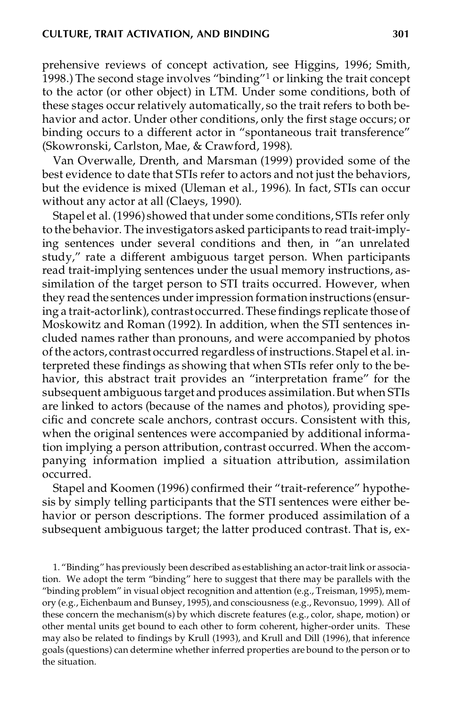prehensive reviews of concept activation, see Higgins, 1996; Smith, 1998.) The second stage involves "binding"<sup>1</sup> or linking the trait concept to the actor (or other object) in LTM. Under some conditions, both of these stages occur relatively automatically, so the trait refers to both behavior and actor. Under other conditions, only the first stage occurs; or binding occurs to a different actor in "spontaneous trait transference" (Skowronski, Carlston, Mae, & Crawford, 1998).

Van Overwalle, Drenth, and Marsman (1999) provided some of the best evidence to date that STIs refer to actors and not just the behaviors, but the evidence is mixed (Uleman et al., 1996). In fact, STIs can occur without any actor at all (Claeys, 1990).

Stapel et al. (1996) showed that under some conditions, STIs refer only to the behavior. The investigators asked participants to read trait-implying sentences under several conditions and then, in "an unrelated study," rate a different ambiguous target person. When participants read trait-implying sentences under the usual memory instructions, assimilation of the target person to STI traits occurred. However, when they read the sentences under impression formation instructions (ensuring a trait-actorlink), contrastoccurred.These findings replicate thoseof Moskowitz and Roman (1992). In addition, when the STI sentences included names rather than pronouns, and were accompanied by photos of the actors, contrast occurred regardless of instructions.Stapel et al. interpreted these findings as showing that when STIs refer only to the behavior, this abstract trait provides an "interpretation frame" for the subsequent ambiguous target and produces assimilation. But when STIs are linked to actors (because of the names and photos), providing specific and concrete scale anchors, contrast occurs. Consistent with this, when the original sentences were accompanied by additional information implying a person attribution, contrast occurred. When the accompanying information implied a situation attribution, assimilation occurred.

Stapel and Koomen (1996) confirmed their "trait-reference" hypothesis by simply telling participants that the STI sentences were either behavior or person descriptions. The former produced assimilation of a subsequent ambiguous target; the latter produced contrast. That is, ex-

1. "Binding" has previously been described as establishing an actor-trait link or association. We adopt the term "binding" here to suggest that there may be parallels with the "binding problem" in visual object recognition and attention (e.g., Treisman, 1995), memory (e.g., Eichenbaum and Bunsey, 1995), and consciousness (e.g., Revonsuo, 1999). All of these concern the mechanism(s) by which discrete features (e.g., color, shape, motion) or other mental units get bound to each other to form coherent, higher-order units. These may also be related to findings by Krull (1993), and Krull and Dill (1996), that inference goals (questions) can determine whether inferred properties are bound to the person or to the situation.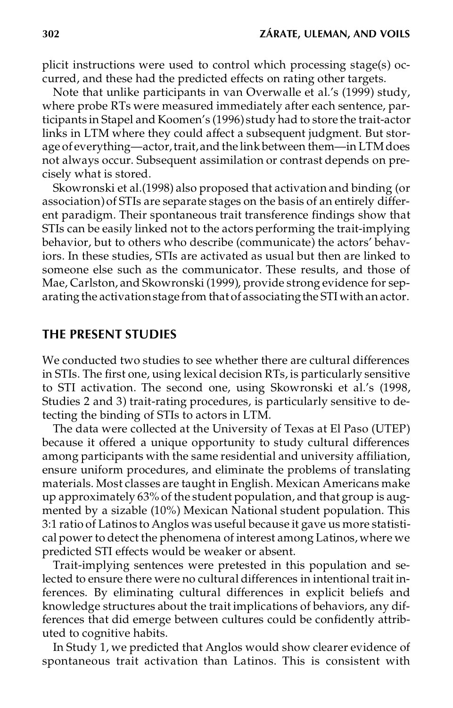plicit instructions were used to control which processing stage(s) occurred, and these had the predicted effects on rating other targets.

Note that unlike participants in van Overwalle et al.'s (1999) study, where probe RTs were measured immediately after each sentence, participants in Stapel and Koomen's (1996) study had to store the trait-actor links in LTM where they could affect a subsequent judgment. But storage of everything—actor, trait, and the link between them—in LTM does not always occur. Subsequent assimilation or contrast depends on precisely what is stored.

Skowronski et al.(1998) also proposed that activation and binding (or association)of STIs are separate stages on the basis of an entirely different paradigm. Their spontaneous trait transference findings show that STIs can be easily linked not to the actors performing the trait-implying behavior, but to others who describe (communicate) the actors' behaviors. In these studies, STIs are activated as usual but then are linked to someone else such as the communicator. These results, and those of Mae, Carlston, and Skowronski (1999), provide strong evidence for separating the activation stage from that of associating the STI with an actor.

### **THE PRESENT STUDIES**

We conducted two studies to see whether there are cultural differences in STIs. The first one, using lexical decision RTs, is particularly sensitive to STI activation. The second one, using Skowronski et al.'s (1998, Studies 2 and 3) trait-rating procedures, is particularly sensitive to detecting the binding of STIs to actors in LTM.

The data were collected at the University of Texas at El Paso (UTEP) because it offered a unique opportunity to study cultural differences among participants with the same residential and university affiliation, ensure uniform procedures, and eliminate the problems of translating materials. Most classes are taught in English. Mexican Americans make up approximately 63% of the student population, and that group is augmented by a sizable (10%) Mexican National student population. This 3:1 ratio of Latinos to Anglos was useful because it gave us more statistical power to detect the phenomena of interest among Latinos, where we predicted STI effects would be weaker or absent.

Trait-implying sentences were pretested in this population and selected to ensure there were no cultural differences in intentional trait inferences. By eliminating cultural differences in explicit beliefs and knowledge structures about the trait implications of behaviors, any differences that did emerge between cultures could be confidently attributed to cognitive habits.

In Study 1,we predicted that Anglos would show clearer evidence of spontaneous trait activation than Latinos. This is consistent with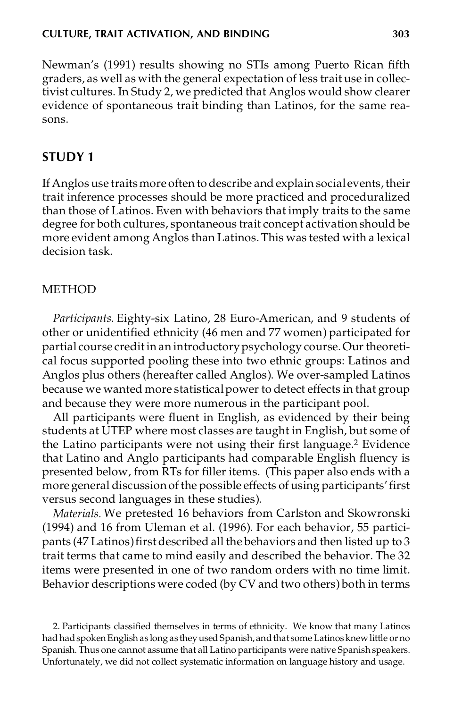Newman's (1991) results showing no STIs among Puerto Rican fifth graders, as well as with the general expectation of less trait use in collectivist cultures. In Study 2, we predicted that Anglos would show clearer evidence of spontaneous trait binding than Latinos, for the same reasons.

# **STUDY 1**

If Anglos use traits more often to describe and explain social events, their trait inference processes should be more practiced and proceduralized than those of Latinos. Even with behaviors that imply traits to the same degree for both cultures, spontaneous trait concept activation should be more evident among Anglos than Latinos. This was tested with a lexical decision task.

#### METHOD

*Participants.* Eighty-six Latino, 28 Euro-American, and 9 students of other or unidentified ethnicity (46 men and 77 women) participated for partial course credit in an introductory psychology course. Our theoretical focus supported pooling these into two ethnic groups: Latinos and Anglos plus others (hereafter called Anglos). We over-sampled Latinos because we wanted more statisticalpower to detect effects in that group and because they were more numerous in the participant pool.

All participants were fluent in English, as evidenced by their being students at UTEP where most classes are taught in English, but some of the Latino participants were not using their first language.<sup>2</sup> Evidence that Latino and Anglo participants had comparable English fluency is presented below, from RTs for filler items. (This paper also ends with a more general discussionofthe possible effects of using participants'first versus second languages in these studies).

*Materials.* We pretested 16 behaviors from Carlston and Skowronski (1994) and 16 from Uleman et al. (1996). For each behavior, 55 participants (47 Latinos) first described all the behaviors and then listed up to 3 trait terms that came to mind easily and described the behavior. The 32 items were presented in one of two random orders with no time limit. Behavior descriptions were coded (by CV and two others) both in terms

2. Participants classified themselves in terms of ethnicity. We know that many Latinos had had spoken English as long as they used Spanish, and that some Latinos knew little or no Spanish. Thus one cannot assume that all Latino participants were native Spanish speakers. Unfortunately, we did not collect systematic information on language history and usage.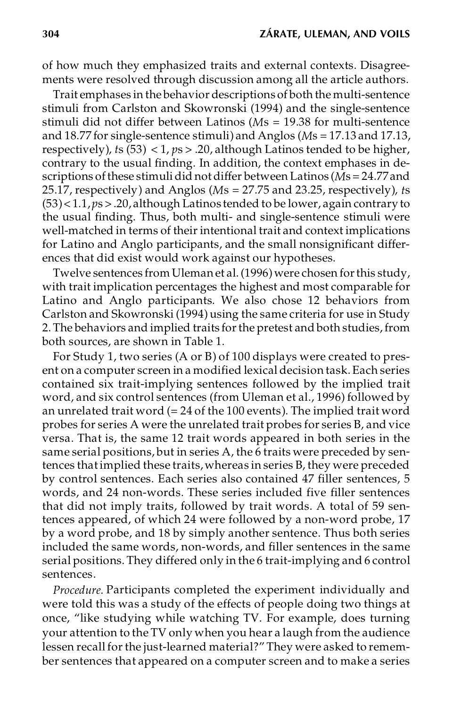of how much they emphasized traits and external contexts. Disagreements were resolved through discussion among all the article authors.

Trait emphases in the behavior descriptions of both the multi-sentence stimuli from Carlston and Skowronski (1994) and the single-sentence stimuli did not differ between Latinos (*M*s = 19.38 for multi-sentence and 18.77 for single-sentence stimuli) and Anglos (*M*s = 17.13 and 17.13, respectively), *t*s (53) < 1,*p*s > .20, although Latinos tended to be higher, contrary to the usual finding. In addition, the context emphases in descriptions of these stimuli did not differ between Latinos (*Ms* = 24.77 and 25.17, respectively) and Anglos (*M*s = 27.75 and 23.25, respectively), *t*s (53)< 1.1, *p*s > .20, although Latinos tended to be lower, again contraryto the usual finding. Thus, both multi- and single-sentence stimuli were well-matched in terms of their intentional trait and context implications for Latino and Anglo participants, and the small nonsignificant differences that did exist would work against our hypotheses.

Twelve sentences from Uleman et al. (1996) were chosen for this study, with trait implication percentages the highest and most comparable for Latino and Anglo participants. We also chose 12 behaviors from Carlston and Skowronski (1994) using the same criteria for use in Study 2. The behaviors and implied traits for the pretest and both studies, from both sources, are shown in Table 1.

For Study 1, two series (A or B) of 100 displays were created to present on a computer screen in a modified lexical decision task.Each series contained six trait-implying sentences followed by the implied trait word, and six control sentences (from Uleman et al., 1996) followed by an unrelated trait word (= 24 of the 100 events). The implied trait word probes for series A were the unrelated trait probes for series B, and vice versa. That is, the same 12 trait words appeared in both series in the same serial positions, but in series A, the 6 traits were preceded by sentences thatimplied these traits,whereas in series B, they were preceded by control sentences. Each series also contained 47 filler sentences, 5 words, and 24 non-words. These series included five filler sentences that did not imply traits, followed by trait words. A total of 59 sentences appeared, of which 24 were followed by a non-word probe, 17 by a word probe, and 18 by simply another sentence. Thus both series included the same words, non-words, and filler sentences in the same serial positions. They differed only in the 6 trait-implying and 6 control sentences.

*Procedure.* Participants completed the experiment individually and were told this was a study of the effects of people doing two things at once, "like studying while watching TV. For example, does turning your attention to the TV only when you hear a laugh from the audience lessen recall for the just-learned material?" They were asked to remember sentences that appeared on a computer screen and to make a series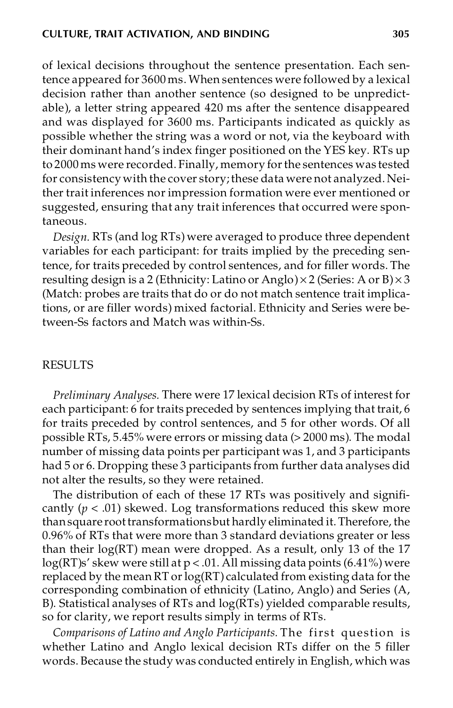of lexical decisions throughout the sentence presentation. Each sentence appeared for 3600 ms. When sentences were followed by a lexical decision rather than another sentence (so designed to be unpredictable), a letter string appeared 420 ms after the sentence disappeared and was displayed for 3600 ms. Participants indicated as quickly as possible whether the string was a word or not, via the keyboard with their dominant hand's index finger positioned on the YES key. RTs up to 2000 ms were recorded. Finally, memory forthe sentences was tested for consistency with the cover story;these data were not analyzed. Neither trait inferences nor impression formation were ever mentioned or suggested, ensuring that any trait inferences that occurred were spontaneous.

*Design.* RTs (and log RTs) were averaged to produce three dependent variables for each participant: for traits implied by the preceding sentence, for traits preceded by control sentences, and for filler words. The resulting design is a 2 (Ethnicity: Latino or Anglo)  $\times$  2 (Series: A or B) $\times$  3 (Match: probes are traits that do or do not match sentence trait implications, or are filler words) mixed factorial. Ethnicity and Series were between-Ss factors and Match was within-Ss.

### RESULTS

*Preliminary Analyses.* There were 17 lexical decision RTs of interest for each participant: 6 for traits preceded by sentences implying that trait, 6 for traits preceded by control sentences, and 5 for other words. Of all possible RTs, 5.45% were errors or missing data (> 2000 ms). The modal number of missing data points per participant was 1, and 3 participants had 5 or 6. Dropping these 3 participants from further data analyses did not alter the results, so they were retained.

The distribution of each of these 17 RTs was positively and significantly  $(p < .01)$  skewed. Log transformations reduced this skew more than square root transformations but hardly eliminated it. Therefore, the 0.96% of RTs that were more than 3 standard deviations greater or less than their log(RT) mean were dropped. As a result, only 13 of the 17  $log(RT)s'$  skew were still at  $p < .01$ . All missing data points (6.41%) were replaced by the mean RT or  $log(RT)$  calculated from existing data for the corresponding combination of ethnicity (Latino, Anglo) and Series (A, B). Statistical analyses of RTs and log(RTs) yielded comparable results, so for clarity, we report results simply in terms of RTs.

*Comparisons of Latino and Anglo Participants.* The first question is whether Latino and Anglo lexical decision RTs differ on the 5 filler words. Because the study was conducted entirely in English, which was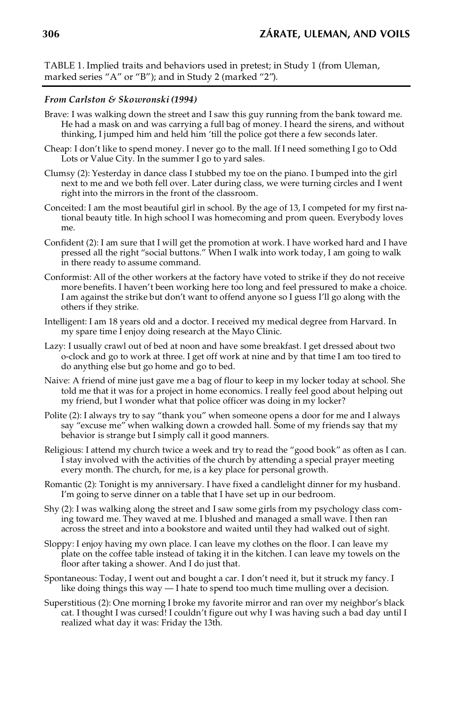TABLE 1. Implied traits and behaviors used in pretest; in Study 1 (from Uleman, marked series "A" or "B"); and in Study 2 (marked "2").

#### *From Carlston & Skowronski (1994)*

- Brave: I was walking down the street and I saw this guy running from the bank toward me. He had a mask on and was carrying a full bag of money. I heard the sirens, and without thinking, I jumped him and held him 'till the police got there a few seconds later.
- Cheap: I don't like to spend money. I never go to the mall. If I need something I go to Odd Lots or Value City. In the summer I go to yard sales.
- Clumsy (2): Yesterday in dance class I stubbed my toe on the piano. I bumped into the girl next to me and we both fell over. Later during class, we were turning circles and I went right into the mirrors in the front of the classroom.
- Conceited: I am the most beautiful girl in school. By the age of 13, I competed for my first national beauty title. In high school I was homecoming and prom queen. Everybody loves me.
- Confident (2): I am sure that I will get the promotion at work. I have worked hard and I have pressed all the right "social buttons." When I walk into work today, I am going to walk in there ready to assume command.
- Conformist: All of the other workers at the factory have voted to strike if they do not receive more benefits. I haven't been working here too long and feel pressured to make a choice. I am against the strike but don't want to offend anyone so I guess I'll go along with the others if they strike.
- Intelligent: I am 18 years old and a doctor. I received my medical degree from Harvard. In my spare time I enjoy doing research at the Mayo Clinic.
- Lazy: I usually crawl out of bed at noon and have some breakfast. I get dressed about two o-clock and go to work at three. I get off work at nine and by that time I am too tired to do anything else but go home and go to bed.
- Naive: A friend of mine just gave me a bag of flour to keep in my locker today at school. She told me that it was for a project in home economics. I really feel good about helping out my friend, but I wonder what that police officer was doing in my locker?
- Polite (2): I always try to say "thank you" when someone opens a door for me and I always say "excuse me" when walking down a crowded hall. Some of my friends say that my behavior is strange but I simply call it good manners.
- Religious: I attend my church twice a week and try to read the "good book" as often as I can. I stay involved with the activities of the church by attending a special prayer meeting every month. The church, for me, is a key place for personal growth.
- Romantic (2): Tonight is my anniversary. I have fixed a candlelight dinner for my husband. I'm going to serve dinner on a table that I have set up in our bedroom.
- Shy (2): I was walking along the street and I saw some girls from my psychology class coming toward me. They waved at me. I blushed and managed a small wave. I then ran across the street and into a bookstore and waited until they had walked out of sight.
- Sloppy: I enjoy having my own place. I can leave my clothes on the floor. I can leave my plate on the coffee table instead of taking it in the kitchen. I can leave my towels on the floor after taking a shower. And I do just that.
- Spontaneous: Today, I went out and bought a car. I don't need it, but it struck my fancy. I like doing things this way — I hate to spend too much time mulling over a decision.
- Superstitious (2): One morning I broke my favorite mirror and ran over my neighbor's black cat. I thought I was cursed! I couldn't figure out why I was having such a bad day until I realized what day it was: Friday the 13th.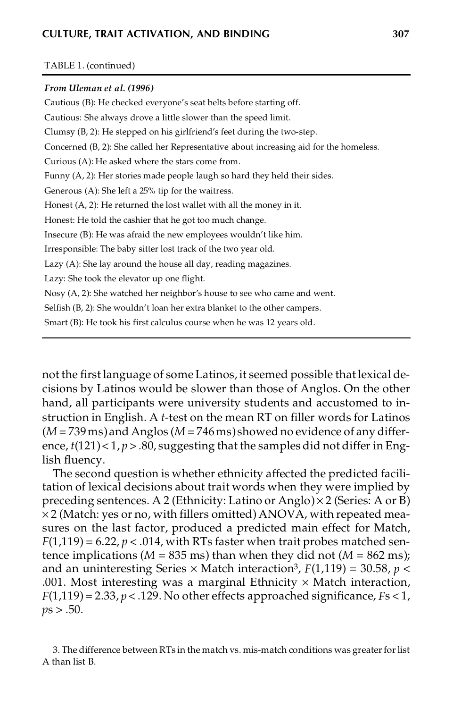#### TABLE 1. (continued)

#### *From Uleman et al. (1996)*

Cautious (B): He checked everyone's seat belts before starting off. Cautious: She always drove a little slower than the speed limit. Clumsy (B, 2): He stepped on his girlfriend's feet during the two-step. Concerned (B, 2): She called her Representative about increasing aid for the homeless. Curious (A): He asked where the stars come from. Funny (A, 2): Her stories made people laugh so hard they held their sides. Generous (A): She left a 25% tip for the waitress. Honest (A, 2): He returned the lost wallet with all the money in it. Honest: He told the cashier that he got too much change. Insecure (B): He was afraid the new employees wouldn't like him. Irresponsible: The baby sitter lost track of the two year old. Lazy (A): She lay around the house all day, reading magazines. Lazy: She took the elevator up one flight. Nosy (A, 2): She watched her neighbor's house to see who came and went. Selfish (B, 2): She wouldn't loan her extra blanket to the other campers. Smart (B): He took his first calculus course when he was 12 years old.

not the first language of some Latinos, it seemed possible that lexical decisions by Latinos would be slower than those of Anglos. On the other hand, all participants were university students and accustomed to instruction in English. A *t*-test on the mean RT on filler words for Latinos (*M* = 739ms)and Anglos (*M* = 746ms) showed no evidence of any difference,  $t(121) < 1, p > .80$ , suggesting that the samples did not differ in English fluency.

The second question is whether ethnicity affected the predicted facilitation of lexical decisions about trait words when they were implied by preceding sentences. A 2 (Ethnicity: Latino or Anglo) $\times$  2 (Series: A or B)  $\times$  2 (Match: yes or no, with fillers omitted) ANOVA, with repeated measures on the last factor, produced a predicted main effect for Match,  $F(1,119) = 6.22$ ,  $p < .014$ , with RTs faster when trait probes matched sentence implications ( $M = 835$  ms) than when they did not ( $M = 862$  ms); and an uninteresting Series  $\times$  Match interaction<sup>3</sup>,  $F(1,119) = 30.58$ ,  $p <$ .001. Most interesting was a marginal Ethnicity  $\times$  Match interaction,  $F(1,119) = 2.33, p < .129$ . No other effects approached significance,  $Fs < 1$ ,  *> .50.* 

3. The difference between RTs in the match vs. mis-match conditions was greater for list A than list B.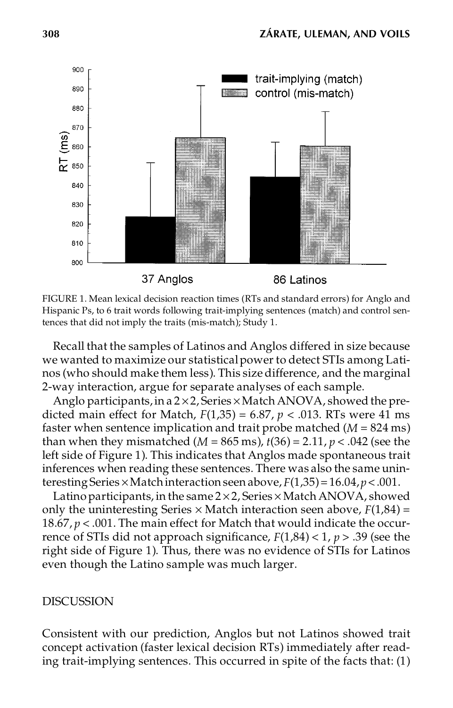

FIGURE 1. Mean lexical decision reaction times (RTs and standard errors) for Anglo and Hispanic Ps, to 6 trait words following trait-implying sentences (match) and control sentences that did not imply the traits (mis-match); Study 1.

Recall that the samples of Latinos and Anglos differed in size because we wanted to maximize our statistical power to detect STIs among Latinos (who should make them less). This size difference, and the marginal 2-way interaction, argue for separate analyses of each sample.

Anglo participants, in a  $2 \times 2$ , Series  $\times$  Match ANOVA, showed the predicted main effect for Match, *F*(1,35) = 6.87, *p* < .013. RTs were 41 ms faster when sentence implication and trait probe matched (*M* = 824 ms) than when they mismatched  $(M = 865 \text{ ms})$ ,  $t(36) = 2.11$ ,  $p < .042$  (see the left side of Figure 1). This indicates that Anglos made spontaneous trait inferences when reading these sentences. There was also the same uninteresting Series  $\times$  Match interaction seen above,  $F(1,35)$  = 16.04,  $p$  < .001.

Latino participants, in the same  $2 \times 2$ , Series  $\times$  Match ANOVA, showed only the uninteresting Series  $\times$  Match interaction seen above,  $F(1,84) =$ 18.67, *p* < .001. The main effect for Match that would indicate the occurrence of STIs did not approach significance,  $F(1,84) < 1$ ,  $p > .39$  (see the right side of Figure 1). Thus, there was no evidence of STIs for Latinos even though the Latino sample was much larger.

### DISCUSSION

Consistent with our prediction, Anglos but not Latinos showed trait concept activation (faster lexical decision RTs) immediately after reading trait-implying sentences. This occurred in spite of the facts that: (1)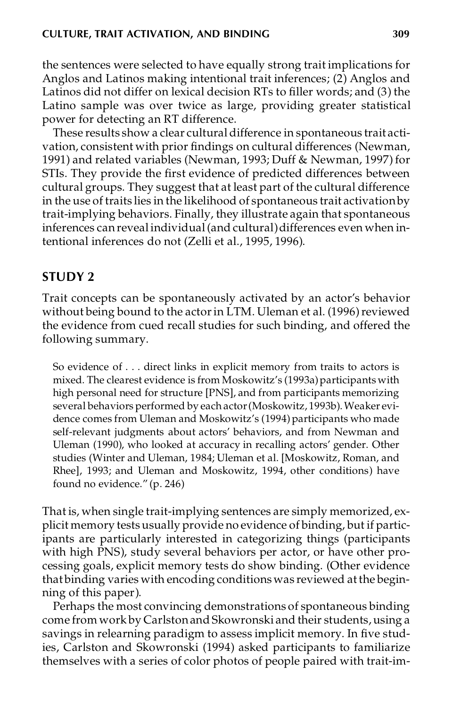the sentences were selected to have equally strong trait implications for Anglos and Latinos making intentional trait inferences; (2) Anglos and Latinos did not differ on lexical decision RTs to filler words; and (3) the Latino sample was over twice as large, providing greater statistical power for detecting an RT difference.

These results show a clear cultural difference in spontaneous trait activation, consistent with prior findings on cultural differences (Newman, 1991) and related variables (Newman, 1993; Duff & Newman, 1997) for STIs. They provide the first evidence of predicted differences between cultural groups. They suggest that at least part of the cultural difference in the use of traits lies in the likelihood of spontaneous trait activationby trait-implying behaviors. Finally, they illustrate again that spontaneous inferences can reveal individual (and cultural) differences even when intentional inferences do not (Zelli et al., 1995, 1996).

# **STUDY 2**

Trait concepts can be spontaneously activated by an actor's behavior without being bound to the actor in LTM. Uleman et al. (1996) reviewed the evidence from cued recall studies for such binding, and offered the following summary.

So evidence of . . . direct links in explicit memory from traits to actors is mixed. The clearest evidence is from Moskowitz's (1993a)participants with high personal need for structure [PNS], and from participants memorizing several behaviors performed by each actor (Moskowitz, 1993b). Weaker evidence comes from Uleman and Moskowitz's (1994) participants who made self-relevant judgments about actors' behaviors, and from Newman and Uleman (1990), who looked at accuracy in recalling actors' gender. Other studies (Winter and Uleman, 1984; Uleman et al. [Moskowitz, Roman, and Rhee], 1993; and Uleman and Moskowitz, 1994, other conditions) have found no evidence." (p. 246)

That is, when single trait-implying sentences are simply memorized, explicit memory testsusually provide no evidence of binding, but if participants are particularly interested in categorizing things (participants with high PNS), study several behaviors per actor, or have other processing goals, explicit memory tests do show binding. (Other evidence that binding varies with encoding conditions was reviewed atthe beginning of this paper).

Perhaps the most convincing demonstrations of spontaneous binding come from work by Carlston and Skowronski and their students, using a savings in relearning paradigm to assess implicit memory. In five studies, Carlston and Skowronski (1994) asked participants to familiarize themselves with a series of color photos of people paired with trait-im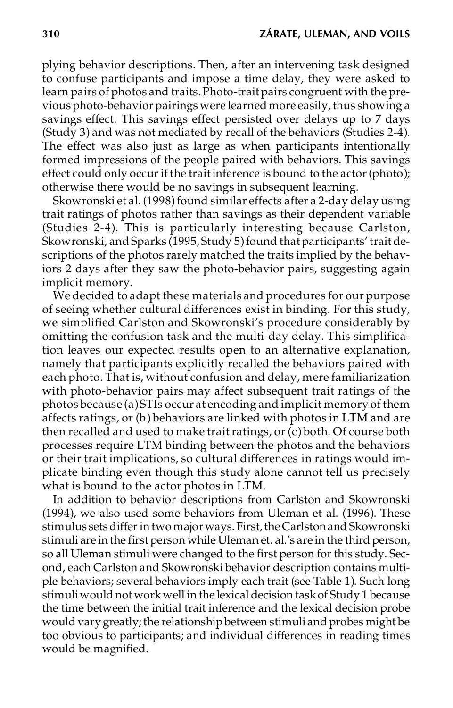plying behavior descriptions. Then, after an intervening task designed to confuse participants and impose a time delay, they were asked to learn pairs of photos and traits. Photo-trait pairs congruent with the previous photo-behavior pairings were learned more easily, thus showing a savings effect. This savings effect persisted over delays up to 7 days (Study 3) and was not mediated by recall of the behaviors (Studies 2-4). The effect was also just as large as when participants intentionally formed impressions of the people paired with behaviors. This savings effect could only occur if the trait inference is bound to the actor (photo); otherwise there would be no savings in subsequent learning.

Skowronski et al. (1998) found similar effects after a 2-day delay using trait ratings of photos rather than savings as their dependent variable (Studies 2-4). This is particularly interesting because Carlston, Skowronski, and Sparks (1995, Study 5) found that participants' trait descriptions of the photos rarely matched the traits implied by the behaviors 2 days after they saw the photo-behavior pairs, suggesting again implicit memory.

We decided to adapt these materials and procedures for our purpose of seeing whether cultural differences exist in binding. For this study, we simplified Carlston and Skowronski's procedure considerably by omitting the confusion task and the multi-day delay. This simplification leaves our expected results open to an alternative explanation, namely that participants explicitly recalled the behaviors paired with each photo. That is, without confusion and delay, mere familiarization with photo-behavior pairs may affect subsequent trait ratings of the photos because (a)STIs occur at encoding and implicit memory of them affects ratings, or (b) behaviors are linked with photos in LTM and are then recalled and used to make trait ratings, or  $(c)$  both. Of course both processes require LTM binding between the photos and the behaviors or their trait implications, so cultural differences in ratings would implicate binding even though this study alone cannot tell us precisely what is bound to the actor photos in LTM.

In addition to behavior descriptions from Carlston and Skowronski (1994), we also used some behaviors from Uleman et al. (1996). These stimulus sets differ in two major ways. First, the Carlston and Skowronski stimuli are in the first person while Uleman et. al.'s are in the third person, so all Uleman stimuli were changed to the first person for this study. Second, each Carlston and Skowronski behavior description contains multiple behaviors; several behaviors imply each trait (see Table 1). Such long stimuli would not work well in the lexical decision task of Study 1 because the time between the initial trait inference and the lexical decision probe would vary greatly; the relationship between stimuli and probes might be too obvious to participants; and individual differences in reading times would be magnified.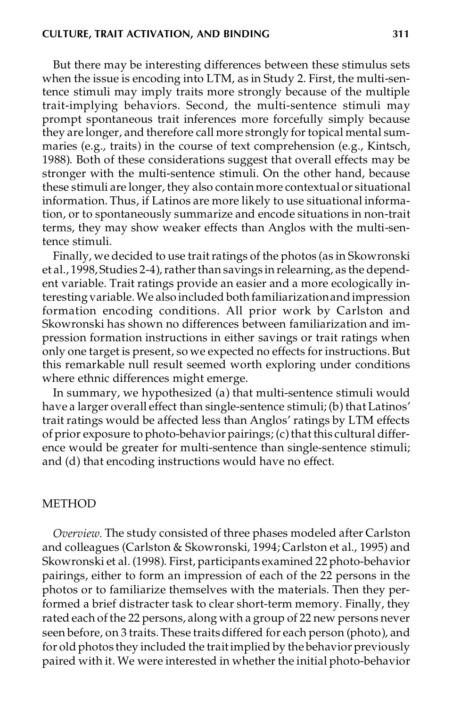But there may be interesting differences between these stimulus sets when the issue is encoding into LTM, as in Study 2. First, the multi-sentence stimuli may imply traits more strongly because of the multiple trait-implying behaviors. Second, the multi-sentence stimuli may prompt spontaneous trait inferences more forcefully simply because they are longer, and therefore call more strongly for topical mental summaries (e.g., traits) in the course of text comprehension (e.g., Kintsch, 1988). Both of these considerations suggest that overall effects may be stronger with the multi-sentence stimuli. On the other hand, because these stimuli are longer, they also containmore contextual or situational information. Thus, if Latinos are more likely to use situational information, or to spontaneously summarize and encode situations in non-trait terms, they may show weaker effects than Anglos with the multi-sentence stimuli.

Finally, we decided to use traitratings of the photos (as in Skowronski et al., 1998, Studies 2-4), rather than savings in relearning, as the dependent variable. Trait ratings provide an easier and a more ecologically interesting variable. We also included both familiarization and impression formation encoding conditions. All prior work by Carlston and Skowronski has shown no differences between familiarization and impression formation instructions in either savings or trait ratings when only one target is present, so we expected no effects forinstructions.But this remarkable null result seemed worth exploring under conditions where ethnic differences might emerge.

In summary, we hypothesized (a) that multi-sentence stimuli would have a larger overall effect than single-sentence stimuli; (b) that Latinos' trait ratings would be affected less than Anglos' ratings by LTM effects of prior exposure to photo-behavior pairings; (c) that this cultural difference would be greater for multi-sentence than single-sentence stimuli; and (d) that encoding instructions would have no effect.

#### METHOD

*Overview.* The study consisted of three phases modeled after Carlston and colleagues (Carlston & Skowronski, 1994; Carlston et al., 1995) and Skowronski et al. (1998). First, participants examined 22 photo-behavior pairings, either to form an impression of each of the 22 persons in the photos or to familiarize themselves with the materials. Then they performed a brief distracter task to clear short-term memory. Finally, they rated each of the 22 persons, along with a group of 22 new persons never seen before, on 3 traits.These traits differed for each person (photo), and for old photos they included the traitimplied by the behavior previously paired with it.We were interested in whether the initial photo-behavior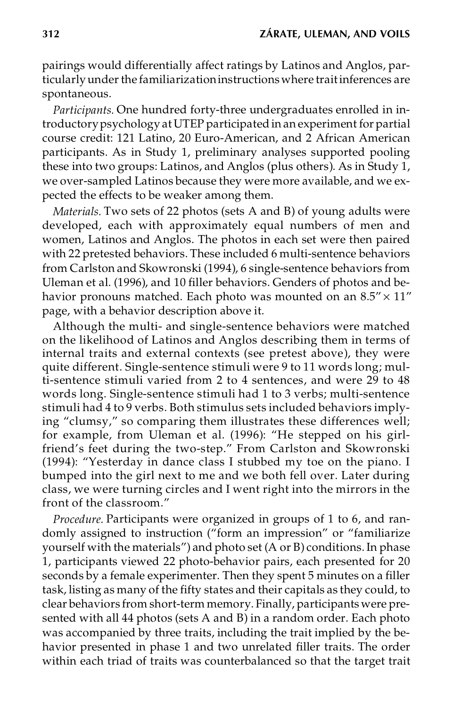pairings would differentially affect ratings by Latinos and Anglos, particularly under the familiarization instructions where trait inferences are spontaneous.

*Participants.* One hundred forty-three undergraduates enrolled in introductorypsychology atUTEP participatedin an experiment for partial course credit: 121 Latino, 20 Euro-American, and 2 African American participants. As in Study 1, preliminary analyses supported pooling these into two groups: Latinos, and Anglos (plus others). As in Study 1, we over-sampled Latinos because they were more available, and we expected the effects to be weaker among them.

*Materials.* Two sets of 22 photos (sets A and B) of young adults were developed, each with approximately equal numbers of men and women, Latinos and Anglos. The photos in each set were then paired with 22 pretested behaviors. These included 6 multi-sentence behaviors from Carlston and Skowronski (1994), 6 single-sentence behaviors from Uleman et al. (1996), and 10 filler behaviors. Genders of photos and behavior pronouns matched. Each photo was mounted on an  $8.5'' \times 11''$ page, with a behavior description above it.

Although the multi- and single-sentence behaviors were matched on the likelihood of Latinos and Anglos describing them in terms of internal traits and external contexts (see pretest above), they were quite different. Single-sentence stimuli were 9 to 11 words long; multi-sentence stimuli varied from 2 to 4 sentences, and were 29 to 48 words long. Single-sentence stimuli had 1 to 3 verbs; multi-sentence stimuli had 4 to 9 verbs. Both stimulus sets included behaviors implying "clumsy," so comparing them illustrates these differences well; for example, from Uleman et al. (1996): "He stepped on his girlfriend's feet during the two-step." From Carlston and Skowronski (1994): "Yesterday in dance class I stubbed my toe on the piano. I bumped into the girl next to me and we both fell over. Later during class, we were turning circles and I went right into the mirrors in the front of the classroom."

*Procedure.* Participants were organized in groups of 1 to 6, and randomly assigned to instruction ("form an impression" or "familiarize yourself with the materials") and photo set  $(A \text{ or } B)$  conditions. In phase 1, participants viewed 22 photo-behavior pairs, each presented for 20 seconds by a female experimenter. Then they spent 5 minutes on a filler task, listing as many of the fifty states and their capitals as they could, to clear behaviors from short-term memory. Finally, participants were presented with all 44 photos (sets A and B) in a random order. Each photo was accompanied by three traits, including the trait implied by the behavior presented in phase 1 and two unrelated filler traits. The order within each triad of traits was counterbalanced so that the target trait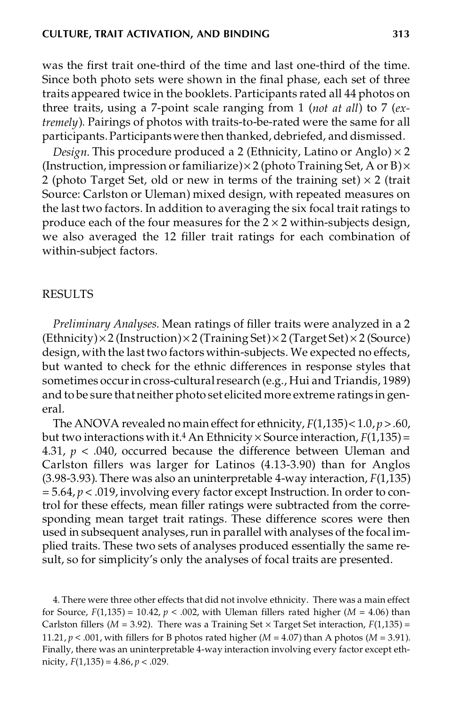was the first trait one-third of the time and last one-third of the time. Since both photo sets were shown in the final phase, each set of three traits appeared twice in the booklets. Participants rated all 44 photos on three traits, using a 7-point scale ranging from 1 (*not at all*) to 7 (*extremely*). Pairings of photos with traits-to-be-rated were the same for all participants.Participantswere then thanked, debriefed, and dismissed.

*Design.* This procedure produced a 2 (Ethnicity, Latino or Anglo)  $\times$  2 (Instruction, impression or familiarize) $\times$  2 (photo Training Set, A or B) $\times$ 2 (photo Target Set, old or new in terms of the training set)  $\times$  2 (trait Source: Carlston or Uleman) mixed design, with repeated measures on the last two factors. In addition to averaging the six focal trait ratings to produce each of the four measures for the  $2 \times 2$  within-subjects design, we also averaged the 12 filler trait ratings for each combination of within-subject factors.

### RESULTS

*Preliminary Analyses.* Mean ratings of filler traits were analyzed in a 2 (Ethnicity) $\times$ 2 (Instruction) $\times$ 2 (Training Set) $\times$ 2 (Target Set) $\times$ 2 (Source) design, with the last two factors within-subjects. We expected no effects, but wanted to check for the ethnic differences in response styles that sometimes occur in cross-cultural research (e.g., Hui and Triandis, 1989) and to be sure that neither photo set elicited more extreme ratings in general.

The ANOVA revealed no main effect for ethnicity, *F*(1,135)< 1.0, *p* > .60, but two interactions with it.<sup>4</sup> An Ethnicity  $\times$  Source interaction,  $F(1,135)$  = 4.31,  $p < .040$ , occurred because the difference between Uleman and Carlston fillers was larger for Latinos (4.13-3.90) than for Anglos (3.98-3.93). There was also an uninterpretable 4-way interaction, *F*(1,135) = 5.64, *p* < .019, involving every factor except Instruction. In order to control for these effects, mean filler ratings were subtracted from the corresponding mean target trait ratings. These difference scores were then used in subsequent analyses, run in parallel with analyses of the focal implied traits. These two sets of analyses produced essentially the same result, so for simplicity's only the analyses of focal traits are presented.

4. There were three other effects that did not involve ethnicity. There was a main effect for Source,  $F(1,135) = 10.42$ ,  $p < .002$ , with Uleman fillers rated higher ( $M = 4.06$ ) than Carlston fillers ( $M = 3.92$ ). There was a Training Set  $\times$  Target Set interaction,  $F(1,135) =$ 11.21,  $p < .001$ , with fillers for B photos rated higher ( $M = 4.07$ ) than A photos ( $M = 3.91$ ). Finally, there was an uninterpretable 4-way interaction involving every factor except ethnicity, *F*(1,135) = 4.86, *p* < .029.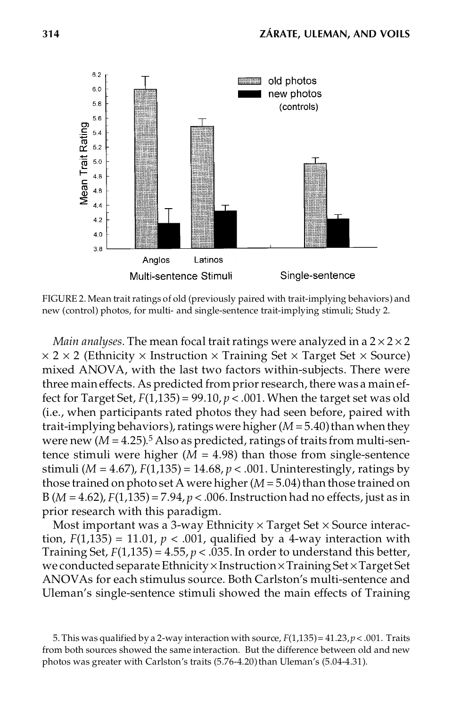

FIGURE 2. Mean trait ratings of old (previously paired with trait-implying behaviors) and new (control) photos, for multi- and single-sentence trait-implying stimuli; Study 2.

*Main analyses.* The mean focal trait ratings were analyzed in a  $2 \times 2 \times 2$  $\times$  2  $\times$  2 (Ethnicity  $\times$  Instruction  $\times$  Training Set  $\times$  Target Set  $\times$  Source) mixed ANOVA, with the last two factors within-subjects. There were three main effects. As predicted from prior research, there was a main effect for Target Set,  $F(1,135) = 99.10, p < .001$ . When the target set was old (i.e., when participants rated photos they had seen before, paired with trait-implying behaviors), ratings were higher  $(M = 5.40)$  than when they were new  $(M = 4.25)$ <sup>5</sup> Also as predicted, ratings of traits from multi-sentence stimuli were higher  $(M = 4.98)$  than those from single-sentence stimuli ( $M = 4.67$ ),  $F(1,135) = 14.68$ ,  $p < .001$ . Uninterestingly, ratings by those trained on photo set A were higher  $(M = 5.04)$  than those trained on B (*M* = 4.62), *F*(1,135) = 7.94, *p* < .006.Instruction had no effects, just as in prior research with this paradigm.

Most important was a 3-way Ethnicity  $\times$  Target Set  $\times$  Source interaction,  $F(1,135) = 11.01$ ,  $p < .001$ , qualified by a 4-way interaction with Training Set,  $F(1,135) = 4.55$ ,  $p < 0.035$ . In order to understand this better, we conducted separate Ethnicity  $\times$  Instruction  $\times$  Training Set  $\times$  Target Set ANOVAs for each stimulus source. Both Carlston's multi-sentence and Uleman's single-sentence stimuli showed the main effects of Training

<sup>5.</sup> This was qualified by a 2-way interaction with source,  $F(1,135) = 41.23$ ,  $p < .001$ . Traits from both sources showed the same interaction. But the difference between old and new photos was greater with Carlston's traits (5.76-4.20) than Uleman's (5.04-4.31).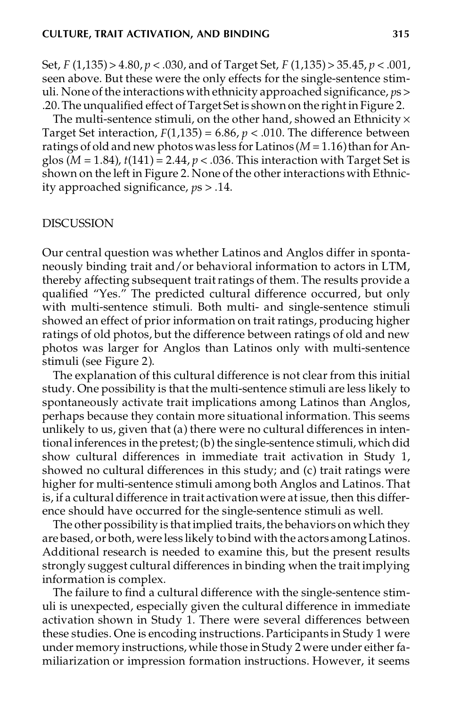Set, *F* (1,135) > 4.80, *p* < .030, and of Target Set, *F* (1,135) > 35.45, *p* < .001, seen above. But these were the only effects for the single-sentence stimuli. None of the interactions with ethnicity approached significance, *p*s > .20.The unqualified effect ofTarget Set is shown on the right in Figure 2.

The multi-sentence stimuli, on the other hand, showed an Ethnicity  $\times$ Target Set interaction,  $F(1,135) = 6.86$ ,  $p < .010$ . The difference between ratings of old and new photos was less for Latinos  $(M = 1.16)$  than for Anglos ( $M = 1.84$ ),  $t(141) = 2.44$ ,  $p < .036$ . This interaction with Target Set is shown on the left in Figure 2. None of the other interactions with Ethnicity approached significance, *p*s > .14.

#### DISCUSSION

Our central question was whether Latinos and Anglos differ in spontaneously binding trait and/or behavioral information to actors in LTM, thereby affecting subsequent traitratings of them. The results provide a qualified "Yes." The predicted cultural difference occurred, but only with multi-sentence stimuli. Both multi- and single-sentence stimuli showed an effect of prior information on trait ratings, producing higher ratings of old photos, but the difference between ratings of old and new photos was larger for Anglos than Latinos only with multi-sentence stimuli (see Figure 2).

The explanation of this cultural difference is not clear from this initial study. One possibility is that the multi-sentence stimuli are less likely to spontaneously activate trait implications among Latinos than Anglos, perhaps because they contain more situational information. This seems unlikely to us, given that (a) there were no cultural differences in intentional inferences in the pretest; (b) the single-sentence stimuli, which did show cultural differences in immediate trait activation in Study 1, showed no cultural differences in this study; and (c) trait ratings were higher for multi-sentence stimuli among both Anglos and Latinos. That is, if a cultural difference in trait activation were at issue, then this difference should have occurred for the single-sentence stimuli as well.

The other possibility is that implied traits, the behaviors on which they are based, or both, were less likely to bind with the actorsamongLatinos. Additional research is needed to examine this, but the present results strongly suggest cultural differences in binding when the traitimplying information is complex.

The failure to find a cultural difference with the single-sentence stimuli is unexpected, especially given the cultural difference in immediate activation shown in Study 1. There were several differences between these studies. One is encoding instructions. Participants in Study 1 were under memory instructions, while those in Study 2 were under either familiarization or impression formation instructions. However, it seems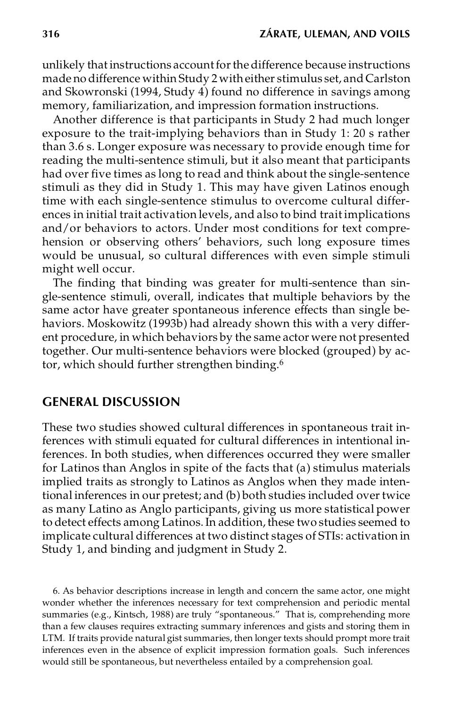unlikely that instructions account for the difference because instructions made no difference within Study 2 witheither stimulus set, and Carlston and Skowronski (1994, Study 4) found no difference in savings among memory, familiarization, and impression formation instructions.

Another difference is that participants in Study 2 had much longer exposure to the trait-implying behaviors than in Study 1: 20 s rather than 3.6 s. Longer exposure was necessary to provide enough time for reading the multi-sentence stimuli, but it also meant that participants had over five times as long to read and think about the single-sentence stimuli as they did in Study 1. This may have given Latinos enough time with each single-sentence stimulus to overcome cultural differences in initial trait activation levels, and also to bind trait implications and/or behaviors to actors. Under most conditions for text comprehension or observing others' behaviors, such long exposure times would be unusual, so cultural differences with even simple stimuli might well occur.

The finding that binding was greater for multi-sentence than single-sentence stimuli, overall, indicates that multiple behaviors by the same actor have greater spontaneous inference effects than single behaviors. Moskowitz (1993b) had already shown this with a very different procedure, in which behaviors by the same actor were not presented together. Our multi-sentence behaviors were blocked (grouped) by actor, which should further strengthen binding.<sup>6</sup>

# **GENERAL DISCUSSION**

These two studies showed cultural differences in spontaneous trait inferences with stimuli equated for cultural differences in intentional inferences. In both studies, when differences occurred they were smaller for Latinos than Anglos in spite of the facts that (a) stimulus materials implied traits as strongly to Latinos as Anglos when they made intentional inferences in our pretest; and (b) both studies included overtwice as many Latino as Anglo participants, giving us more statistical power to detect effects among Latinos.In addition, these two studies seemed to implicate cultural differences at two distinct stages of STIs: activation in Study 1, and binding and judgment in Study 2.

6. As behavior descriptions increase in length and concern the same actor, one might wonder whether the inferences necessary for text comprehension and periodic mental summaries (e.g., Kintsch, 1988) are truly "spontaneous." That is, comprehending more than a few clauses requires extracting summary inferences and gists and storing them in LTM. If traits provide natural gist summaries, then longer texts should prompt more trait inferences even in the absence of explicit impression formation goals. Such inferences would still be spontaneous, but nevertheless entailed by a comprehension goal.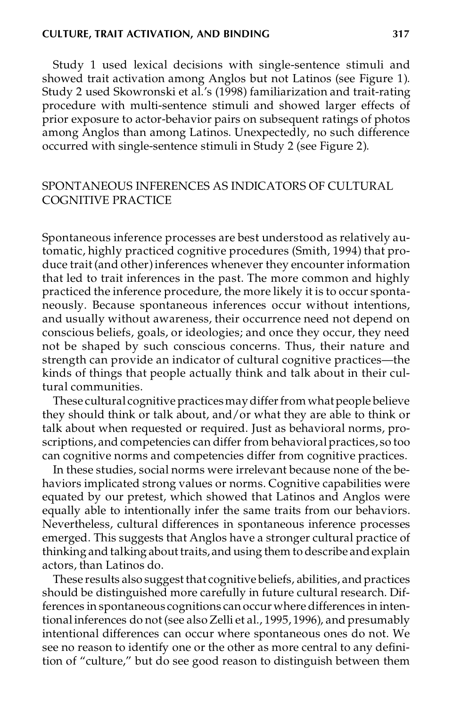Study 1 used lexical decisions with single-sentence stimuli and showed trait activation among Anglos but not Latinos (see Figure 1). Study 2 used Skowronski et al.'s (1998) familiarization and trait-rating procedure with multi-sentence stimuli and showed larger effects of prior exposure to actor-behavior pairs on subsequent ratings of photos among Anglos than among Latinos. Unexpectedly, no such difference occurred with single-sentence stimuli in Study 2 (see Figure 2).

# SPONTANEOUS INFERENCES AS INDICATORS OF CULTURAL COGNITIVE PRACTICE

Spontaneous inference processes are best understood as relatively automatic, highly practiced cognitive procedures (Smith, 1994) that produce trait(and other)inferences whenever they encounter information that led to trait inferences in the past. The more common and highly practiced the inference procedure, the more likely it is to occur spontaneously. Because spontaneous inferences occur without intentions, and usually without awareness, their occurrence need not depend on conscious beliefs, goals, or ideologies; and once they occur, they need not be shaped by such conscious concerns. Thus, their nature and strength can provide an indicator of cultural cognitive practices—the kinds of things that people actually think and talk about in their cultural communities.

These cultural cognitive practices may differ from what people believe they should think or talk about, and/or what they are able to think or talk about when requested or required. Just as behavioral norms, proscriptions, and competencies can differ from behavioral practices, so too can cognitive norms and competencies differ from cognitive practices.

In these studies, social norms were irrelevant because none of the behaviors implicated strong values or norms. Cognitive capabilities were equated by our pretest, which showed that Latinos and Anglos were equally able to intentionally infer the same traits from our behaviors. Nevertheless, cultural differences in spontaneous inference processes emerged. This suggests that Anglos have a stronger cultural practice of thinking and talking about traits, and using them to describe and explain actors, than Latinos do.

These results also suggest that cognitive beliefs, abilities, and practices should be distinguished more carefully in future cultural research. Differences in spontaneous cognitions can occur where differences in intentional inferences do not (see also Zelli et al., 1995, 1996), and presumably intentional differences can occur where spontaneous ones do not. We see no reason to identify one or the other as more central to any definition of "culture," but do see good reason to distinguish between them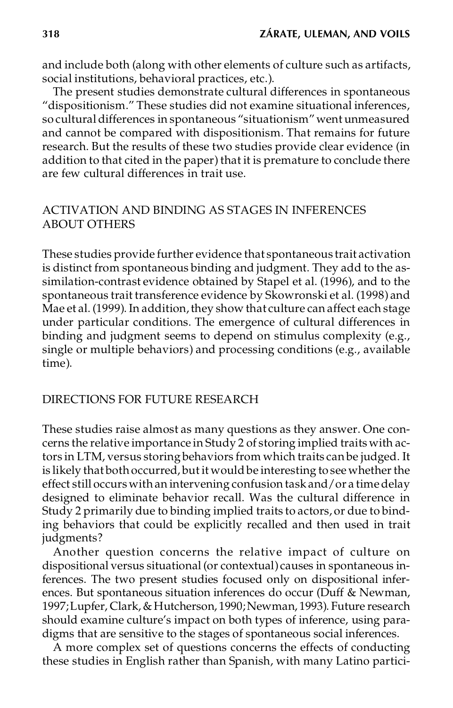and include both (along with other elements of culture such as artifacts, social institutions, behavioral practices, etc.).

The present studies demonstrate cultural differences in spontaneous "dispositionism." These studies did not examine situational inferences, so cultural differences in spontaneous "situationism" went unmeasured and cannot be compared with dispositionism. That remains for future research. But the results of these two studies provide clear evidence (in addition to that cited in the paper) that it is premature to conclude there are few cultural differences in trait use.

# ACTIVATION AND BINDING AS STAGES IN INFERENCES ABOUT OTHERS

These studies provide further evidence that spontaneous trait activation is distinct from spontaneous binding and judgment. They add to the assimilation-contrast evidence obtained by Stapel et al. (1996), and to the spontaneous trait transference evidence by Skowronski et al. (1998) and Mae et al. (1999). In addition, they show that culture can affect each stage under particular conditions. The emergence of cultural differences in binding and judgment seems to depend on stimulus complexity (e.g., single or multiple behaviors) and processing conditions (e.g., available time).

### DIRECTIONS FOR FUTURE RESEARCH

These studies raise almost as many questions as they answer. One concerns the relative importance in Study 2 of storing implied traits with actors in LTM, versus storing behaviors from which traits can be judged. It is likely that both occurred, but it would be interesting to see whether the effect still occurs withan intervening confusion task and/or a timedelay designed to eliminate behavior recall. Was the cultural difference in Study 2 primarily due to binding implied traits to actors, or due to binding behaviors that could be explicitly recalled and then used in trait judgments?

Another question concerns the relative impact of culture on dispositional versus situational (or contextual) causes in spontaneous inferences. The two present studies focused only on dispositional inferences. But spontaneous situation inferences do occur (Duff & Newman, 1997;Lupfer, Clark,& Hutcherson, 1990;Newman, 1993). Future research should examine culture's impact on both types of inference, using paradigms that are sensitive to the stages of spontaneous social inferences.

A more complex set of questions concerns the effects of conducting these studies in English rather than Spanish, with many Latino partici-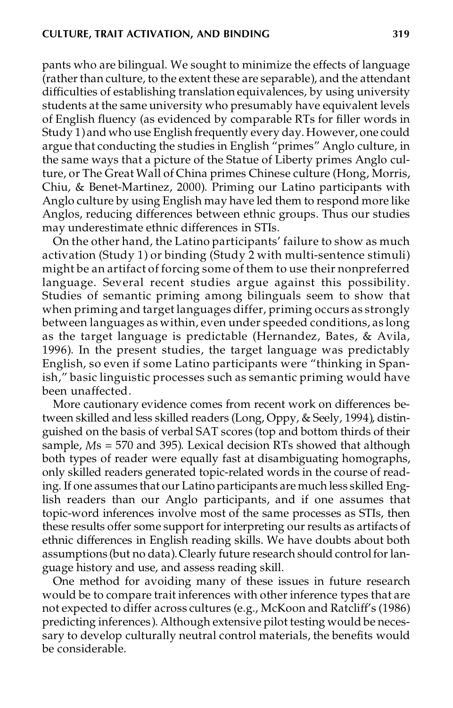pants who are bilingual. We sought to minimize the effects of language (rather than culture, to the extent these are separable), and the attendant difficulties of establishing translation equivalences, by using university students at the same university who presumably have equivalent levels of English fluency (as evidenced by comparable RTs for filler words in Study 1)and who use English frequently every day. However, one could argue that conducting the studies in English "primes" Anglo culture, in the same ways that a picture of the Statue of Liberty primes Anglo culture, or The Great Wall of China primes Chinese culture (Hong, Morris, Chiu, & Benet-Martinez, 2000). Priming our Latino participants with Anglo culture by using English may have led them to respond more like Anglos, reducing differences between ethnic groups. Thus our studies may underestimate ethnic differences in STIs.

On the other hand, the Latino participants' failure to show as much activation (Study 1) or binding (Study  $2$  with multi-sentence stimuli) might be an artifact of forcing some of them to use their nonpreferred language. Several recent studies argue against this possibility. Studies of semantic priming among bilinguals seem to show that when priming and target languages differ, priming occurs as strongly between languages as within, even under speeded conditions, as long as the target language is predictable (Hernandez, Bates, & Avila, 1996). In the present studies, the target language was predictably English, so even if some Latino participants were "thinking in Spanish," basic linguistic processes such as semantic priming would have been unaffected.

More cautionary evidence comes from recent work on differences between skilled and less skilled readers (Long, Oppy, & Seely, 1994), distinguished on the basis of verbal SAT scores (top and bottom thirds of their sample, *M*s = 570 and 395). Lexical decision RTs showed that although both types of reader were equally fast at disambiguating homographs, only skilled readers generated topic-related words in the course of reading. If one assumes that our Latino participants are much less skilled English readers than our Anglo participants, and if one assumes that topic-word inferences involve most of the same processes as STIs, then these results offer some support for interpreting our results as artifacts of ethnic differences in English reading skills. We have doubts about both assumptions (but no data). Clearly future research should control for language history and use, and assess reading skill.

One method for avoiding many of these issues in future research would be to compare trait inferences with other inference types that are not expected to differ across cultures (e.g., McKoon and Ratcliff's (1986) predicting inferences). Although extensive pilot testing would be necessary to develop culturally neutral control materials, the benefits would be considerable.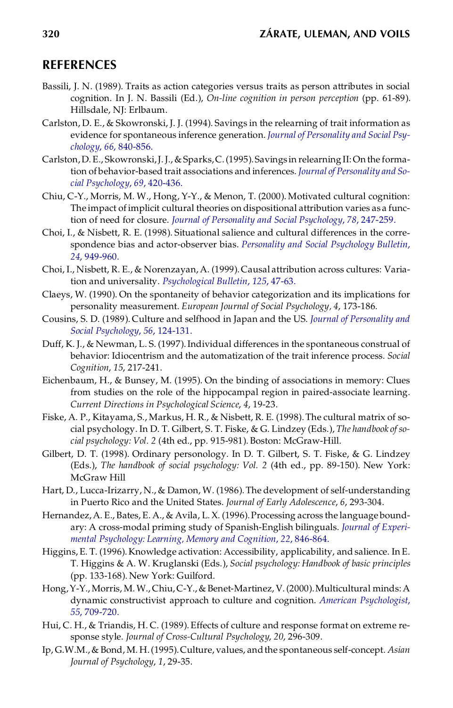# **REFERENCES**

- Bassili, J. N. (1989). Traits as action categories versus traits as person attributes in social cognition. In J. N. Bassili (Ed.), *On-line cognition in person perception* (pp. 61-89). Hillsdale, NJ: Erlbaum.
- Carlston, D. E., & Skowronski, J. J. (1994). Savings in the relearning of trait information as evidence for spontaneous inference generation. *Journal of [Personality](http://leporello.ingentaselect.com/nw=1/rpsv/cgi-bin/linker?ext=a&reqidx=/0022-3514^28^2966L.840[aid=137150]) and Social Psychology*, *66*[, 840-856.](http://leporello.ingentaselect.com/nw=1/rpsv/cgi-bin/linker?ext=a&reqidx=/0022-3514^28^2966L.840[aid=137150])
- Carlston,D. E., Skowronski,J. J., & Sparks,C.(1995).Savings in relearning II:On the formation of behavior-based trait associations and inferences. *Journal of [Personality](http://leporello.ingentaselect.com/nw=1/rpsv/cgi-bin/linker?ext=a&reqidx=/0022-3514^28^2969L.420[aid=1539544]) and So[cial Psychology](http://leporello.ingentaselect.com/nw=1/rpsv/cgi-bin/linker?ext=a&reqidx=/0022-3514^28^2969L.420[aid=1539544])*, *69*, 420-436.
- Chiu, C-Y., Morris, M. W., Hong, Y-Y., & Menon, T. (2000). Motivated cultural cognition: The impact of implicit cultural theories on dispositional attribution varies as a function of need for closure. *[Journal of Personality and Social Psychology](http://leporello.ingentaselect.com/nw=1/rpsv/cgi-bin/linker?ext=a&reqidx=/0022-3514^28^2978L.247[aid=1539481])*, *78*, 247-259.
- Choi, I., & Nisbett, R. E. (1998). Situational salience and cultural differences in the corre spondence bias and actor-observer bias. *Personality and Social [Psychology](http://leporello.ingentaselect.com/nw=1/rpsv/cgi-bin/linker?ext=a&reqidx=/0146-1672^28^2924L.949[aid=1324214]) Bulletin*, *24*[, 949-960.](http://leporello.ingentaselect.com/nw=1/rpsv/cgi-bin/linker?ext=a&reqidx=/0146-1672^28^2924L.949[aid=1324214])
- Choi, I., Nisbett, R. E., & Norenzayan, A. (1999). Causal attribution across cultures: Variation and universality. *[Psychological Bulletin](http://leporello.ingentaselect.com/nw=1/rpsv/cgi-bin/linker?ext=a&reqidx=/0033-2909^28^29125L.47[aid=1324215])*, *125*, 47-63.
- Claeys, W. (1990). On the spontaneity of behavior categorization and its implications for personality measurement. *European Journal of Social Psychology, 4*, 173-186.
- Cousins, S. D. (1989). Culture and selfhood in Japan and the US. *Journal of [Personality](http://leporello.ingentaselect.com/nw=1/rpsv/cgi-bin/linker?ext=a&reqidx=/0022-3514^28^2956L.124[aid=316475]) and [Social Psychology](http://leporello.ingentaselect.com/nw=1/rpsv/cgi-bin/linker?ext=a&reqidx=/0022-3514^28^2956L.124[aid=316475])*, *56*, 124-131.
- Duff, K. J., & Newman, L. S. (1997). Individual differences in the spontaneous construal of behavior: Idiocentrism and the automatization of the trait inference process. *Social Cognition*, *15*, 217-241.
- Eichenbaum, H., & Bunsey, M. (1995). On the binding of associations in memory: Clues from studies on the role of the hippocampal region in paired-associate learning. *Current Directions in Psychological Science*, *4*, 19-23.
- Fiske, A. P., Kitayama, S., Markus, H. R., & Nisbett, R. E. (1998).The cultural matrix of so cial psychology. In D. T. Gilbert, S. T. Fiske, & G. Lindzey (Eds.), *The handbook of social psychology: Vol. 2* (4th ed., pp. 915-981). Boston: McGraw-Hill.
- Gilbert, D. T. (1998). Ordinary personology. In D. T. Gilbert, S. T. Fiske, & G. Lindzey (Eds.), *The handbook of social psychology: Vol. 2* (4th ed., pp. 89-150). New York: McGraw Hill
- Hart, D., Lucca-Irizarry, N., & Damon, W. (1986).The development of self-understanding in Puerto Rico and the United States. *Journal of Early Adolescence*, *6*, 293-304.
- Hernandez, A. E., Bates, E. A., & Avila, L. X. (1996). Processing across the language boundary: A cross-modal priming study of Spanish-English bilinguals. *Journal of [Experi](http://leporello.ingentaselect.com/nw=1/rpsv/cgi-bin/linker?ext=a&reqidx=/0278-7393^28^2922L.846[aid=1539548])[mental Psychology: Learning, Memory and Cognition](http://leporello.ingentaselect.com/nw=1/rpsv/cgi-bin/linker?ext=a&reqidx=/0278-7393^28^2922L.846[aid=1539548])*, *22*, 846-864.
- Higgins, E. T. (1996). Knowledge activation: Accessibility, applicability, and salience. In E. T. Higgins & A. W. Kruglanski (Eds.), *Social psychology: Handbook of basic principles* (pp. 133-168). New York: Guilford.
- Hong,Y-Y., Morris, M. W., Chiu,C-Y.,& Benet-Martinez, V.(2000).Multicultural minds:A dynamic constructivist approach to culture and cognition. *American [Psychologist](http://leporello.ingentaselect.com/nw=1/rpsv/cgi-bin/linker?ext=a&reqidx=/0003-066X^28^2955L.709[aid=1539506])*, *55*[, 709-720.](http://leporello.ingentaselect.com/nw=1/rpsv/cgi-bin/linker?ext=a&reqidx=/0003-066X^28^2955L.709[aid=1539506])
- Hui, C. H., & Triandis, H. C. (1989).Effects of culture and response format on extreme re sponse style. *Journal of Cross-Cultural Psychology*, *20*, 296-309.
- Ip, G.W.M.,& Bond, M. H.(1995).Culture, values, andthe spontaneous self-concept. *Asian Journal of Psychology*, *1*, 29-35.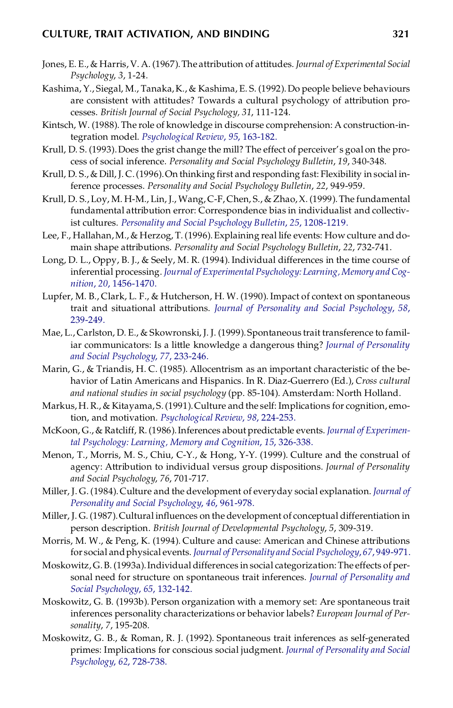- Jones, E. E., & Harris, V. A. (1967).The attribution of attitudes. *Journal of Experimental Social Psychology*, *3*, 1-24.
- Kashima, Y., Siegal, M., Tanaka,K., & Kashima, E. S. (1992).Do people believe behaviours are consistent with attitudes? Towards a cultural psychology of attribution pro cesses. *British Journal of Social Psychology, 31*, 111-124.
- Kintsch, W. (1988).The role of knowledge in discourse comprehension: A construction-integration model. *[Psychological Review](http://leporello.ingentaselect.com/nw=1/rpsv/cgi-bin/linker?ext=a&reqidx=/0033-295X^28^2995L.163[aid=18691])*, *95*, 163-182.
- Krull, D. S. (1993).Does the grist change the mill? The effect of perceiver's goal on the pro cess of social inference. *Personality and Social Psychology Bulletin*, *19*, 340-348.
- Krull, D. S., & Dill, J. C.(1996).On thinking first and responding fast: Flexibility in social inference processes. *Personality and Social Psychology Bulletin*, *22*, 949-959.
- Krull, D. S., Loy, M. H-M., Lin, J., Wang, C-F, Chen, S., & Zhao,X. (1999).The fundamental fundamental attribution error: Correspondence bias in individualist and collectivist cultures. *[Personality and Social Psychology Bulletin](http://leporello.ingentaselect.com/nw=1/rpsv/cgi-bin/linker?ext=a&reqidx=/0146-1672^28^2925L.1208[aid=1539551])*, *25*, 1208-1219.
- Lee, F., Hallahan,M., & Herzog, T. (1996).Explaining real life events: How culture and domain shape attributions. *Personality and Social Psychology Bulletin*, *22*, 732-741.
- Long, D. L., Oppy, B. J., & Seely, M. R. (1994). Individual differences in the time course of inferential processing. *Journal of Experimental Psychology: [Learning,Memory](http://leporello.ingentaselect.com/nw=1/rpsv/cgi-bin/linker?ext=a&reqidx=/0278-7393^28^2920L.1456[aid=303792]) and Cognition*, *20*[, 1456-1470.](http://leporello.ingentaselect.com/nw=1/rpsv/cgi-bin/linker?ext=a&reqidx=/0278-7393^28^2920L.1456[aid=303792])
- Lupfer, M. B., Clark, L. F., & Hutcherson, H. W. (1990). Impact of context on spontaneous trait and situational attributions. *Journal of Personality and Social [Psychology](http://leporello.ingentaselect.com/nw=1/rpsv/cgi-bin/linker?ext=a&reqidx=/0022-3514^28^2958L.239[aid=137162])*, *58*, [239-249.](http://leporello.ingentaselect.com/nw=1/rpsv/cgi-bin/linker?ext=a&reqidx=/0022-3514^28^2958L.239[aid=137162])
- Mae, L., Carlston, D. E., & Skowronski, J. J. (1999).Spontaneous trait transference to familiar communicators: Is a little knowledge a dangerous thing? *Journal of [Personality](http://leporello.ingentaselect.com/nw=1/rpsv/cgi-bin/linker?ext=a&reqidx=/0022-3514^28^2977L.233[aid=1539552]) [and Social Psychology](http://leporello.ingentaselect.com/nw=1/rpsv/cgi-bin/linker?ext=a&reqidx=/0022-3514^28^2977L.233[aid=1539552])*, *77*, 233-246.
- Marin, G., & Triandis, H. C. (1985). Allocentrism as an important characteristic of the behavior of Latin Americans and Hispanics. In R. Diaz-Guerrero (Ed.), *Cross cultural and national studies in social psychology* (pp. 85-104). Amsterdam: North Holland.
- Markus, H.R., & Kitayama, S.(1991).Culture and the self: Implications for cognition, emotion, and motivation. *[Psychological Review](http://leporello.ingentaselect.com/nw=1/rpsv/cgi-bin/linker?ext=a&reqidx=/0033-295X^28^2998L.224[aid=16274])*, *98*, 224-253.
- McKoon, G., & Ratcliff, R. (1986).Inferences about predictable events. *Journal of [Experimen](http://leporello.ingentaselect.com/nw=1/rpsv/cgi-bin/linker?ext=a&reqidx=/0278-7393^28^2915L.326[aid=303795])[tal Psychology: Learning, Memory and Cognition](http://leporello.ingentaselect.com/nw=1/rpsv/cgi-bin/linker?ext=a&reqidx=/0278-7393^28^2915L.326[aid=303795])*, *15*, 326-338.
- Menon, T., Morris, M. S., Chiu, C-Y., & Hong, Y-Y. (1999). Culture and the construal of agency: Attribution to individual versus group dispositions. *Journal of Personality and Social Psychology*, *76*, 701-717.
- Miller, J. G. (1984). Culture and the development of everyday social explanation. *[Journal](http://leporello.ingentaselect.com/nw=1/rpsv/cgi-bin/linker?ext=a&reqidx=/0022-3514^28^2946L.961[aid=316486]) of [Personality and Social Psychology](http://leporello.ingentaselect.com/nw=1/rpsv/cgi-bin/linker?ext=a&reqidx=/0022-3514^28^2946L.961[aid=316486])*, *46*, 961-978.
- Miller, J. G. (1987).Cultural influences on the development of conceptual differentiation in person description. *British Journal of Developmental Psychology*, *5*, 309-319.
- Morris, M. W., & Peng, K. (1994). Culture and cause: American and Chinese attributions for social andphysical events. *Journal of [Personality](http://leporello.ingentaselect.com/nw=1/rpsv/cgi-bin/linker?ext=a&reqidx=/0022-3514^28^2967L.949[aid=317140]) andSocial Psychology*, *67*, 949-971.
- Moskowitz,G.B. (1993a).Individual differences in social categorization:The effects of personal need for structure on spontaneous trait inferences. *Journal of [Personality](http://leporello.ingentaselect.com/nw=1/rpsv/cgi-bin/linker?ext=a&reqidx=/0022-3514^28^2965L.132[aid=16847]) and [Social Psychology](http://leporello.ingentaselect.com/nw=1/rpsv/cgi-bin/linker?ext=a&reqidx=/0022-3514^28^2965L.132[aid=16847])*, *65*, 132-142.
- Moskowitz, G. B. (1993b). Person organization with a memory set: Are spontaneous trait inferences personality characterizations or behavior labels? *European Journal of Personality*, *7*, 195-208.
- Moskowitz, G. B., & Roman, R. J. (1992). Spontaneous trait inferences as self-generated primes: Implications for conscious social judgment. *Journal of [Personality](http://leporello.ingentaselect.com/nw=1/rpsv/cgi-bin/linker?ext=a&reqidx=/0022-3514^28^2962L.728[aid=1539554]) and Social [Psychology](http://leporello.ingentaselect.com/nw=1/rpsv/cgi-bin/linker?ext=a&reqidx=/0022-3514^28^2962L.728[aid=1539554])*, *62*, 728-738.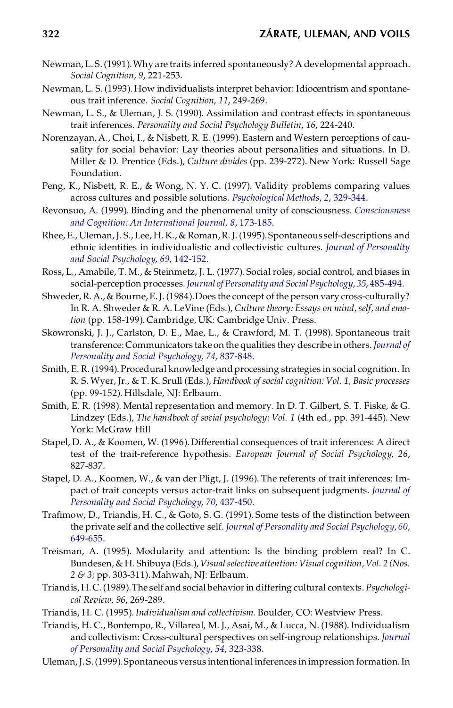- Newman, L. S.(1991).Why are traits inferred spontaneously? A developmental approach. *Social Cognition*, *9*, 221-253.
- Newman, L. S. (1993). How individualists interpret behavior: Idiocentrism and spontane ous trait inference. *Social Cognition*, *11*, 249-269.
- Newman, L. S., & Uleman, J. S. (1990). Assimilation and contrast effects in spontaneous trait inferences. *Personality and Social Psychology Bulletin*, *16*, 224-240.
- Norenzayan, A., Choi, I., & Nisbett, R. E. (1999). Eastern and Western perceptions of cau sality for social behavior: Lay theories about personalities and situations. In D. Miller & D. Prentice (Eds.), *Culture divides* (pp. 239-272). New York: Russell Sage Foundation.
- Peng, K., Nisbett, R. E., & Wong, N. Y. C. (1997). Validity problems comparing values across cultures and possible solutions. *[Psychological Methods](http://leporello.ingentaselect.com/nw=1/rpsv/cgi-bin/linker?ext=a&reqidx=/1082-989X^28^292L.329[aid=1539558])*, *2*, 329-344.
- Revonsuo, A. (1999). Binding and the phenomenal unity of consciousness. *[Consciousness](http://leporello.ingentaselect.com/nw=1/rpsv/cgi-bin/linker?ext=a&reqidx=/1053-8100^28^298L.173[aid=1539559]) [and Cognition: An International Journal,](http://leporello.ingentaselect.com/nw=1/rpsv/cgi-bin/linker?ext=a&reqidx=/1053-8100^28^298L.173[aid=1539559]) 8*, 173-185.
- Rhee, E., Uleman, J. S., Lee, H. K., & Roman,R. J. (1995).Spontaneous self-descriptions and ethnic identities in individualistic and collectivistic cultures. *Journal of [Personality](http://leporello.ingentaselect.com/nw=1/rpsv/cgi-bin/linker?ext=a&reqidx=/0022-3514^28^2969L.142[aid=838264]) [and Social Psychology](http://leporello.ingentaselect.com/nw=1/rpsv/cgi-bin/linker?ext=a&reqidx=/0022-3514^28^2969L.142[aid=838264])*, *69*, 142-152.
- Ross, L., Amabile, T. M., & Steinmetz, J. L. (1977). Social roles, social control, and biases in social-perception processes. *Journal of Personality and [SocialPsychology](http://leporello.ingentaselect.com/nw=1/rpsv/cgi-bin/linker?ext=a&reqidx=/0022-3514^28^2935L.485[aid=47421])*, *35*, 485-494.
- Shweder, R. A., & Bourne, E. J. (1984). Does the concept of the person vary cross-culturally? In R.A. Shweder & R. A. LeVine (Eds.), *Culture theory: Essays on mind,self, and emotion* (pp. 158-199). Cambridge, UK: Cambridge Univ. Press.
- Skowronski, J. J., Carlston, D. E., Mae, L., & Crawford, M. T. (1998). Spontaneous trait transference: Communicators take on the qualities they describe in others. *[Journal](http://leporello.ingentaselect.com/nw=1/rpsv/cgi-bin/linker?ext=a&reqidx=/0022-3514^28^2974L.837[aid=1539560]) of [Personality and Social Psychology](http://leporello.ingentaselect.com/nw=1/rpsv/cgi-bin/linker?ext=a&reqidx=/0022-3514^28^2974L.837[aid=1539560])*, *74*, 837-848.
- Smith, E. R. (1994). Procedural knowledge and processing strategies in social cognition. In R. S. Wyer, Jr., & T. K. Srull (Eds.), *Handbook of social cognition: Vol. 1, Basic processes* (pp. 99-152). Hillsdale, NJ: Erlbaum.
- Smith, E. R. (1998). Mental representation and memory. In D. T. Gilbert, S. T. Fiske, & G. Lindzey (Eds.), *The handbook of social psychology: Vol. 1* (4th ed., pp. 391-445). New York: McGraw Hill
- Stapel, D. A., & Koomen, W. (1996).Differential consequences of trait inferences: A direct test of the trait-reference hypothesis. *European Journal of Social Psychology*, *26*, 827-837.
- Stapel, D. A., Koomen, W., & van der Pligt, J. (1996). The referents of trait inferences: Impact of trait concepts versus actor-trait links on subsequent judgments. *[Journal](http://leporello.ingentaselect.com/nw=1/rpsv/cgi-bin/linker?ext=a&reqidx=/0022-3514^28^2970L.437[aid=137173]) of [Personality and Social Psychology](http://leporello.ingentaselect.com/nw=1/rpsv/cgi-bin/linker?ext=a&reqidx=/0022-3514^28^2970L.437[aid=137173])*, *70*, 437-450.
- Trafimow, D., Triandis, H. C., & Goto, S. G. (1991). Some tests of the distinction between the private self and the collective self. *Journal of Personality and Social [Psychology](http://leporello.ingentaselect.com/nw=1/rpsv/cgi-bin/linker?ext=a&reqidx=/0022-3514^28^2960L.649[aid=137331])*, *60*, [649-655.](http://leporello.ingentaselect.com/nw=1/rpsv/cgi-bin/linker?ext=a&reqidx=/0022-3514^28^2960L.649[aid=137331])
- Treisman, A. (1995). Modularity and attention: Is the binding problem real? In C. Bundesen, & H. Shibuya (Eds.), *Visualselective attention: Visual cognition,Vol. 2 (Nos. 2 & 3;* pp. 303-311). Mahwah, NJ: Erlbaum.
- Triandis,H.C.(1989).The self and social behaviorin differing cultural contexts. *Psychological Review*, *96*, 269-289.
- Triandis, H. C. (1995). *Individualism and collectivism*. Boulder, CO: Westview Press.
- Triandis, H. C., Bontempo, R., Villareal, M. J., Asai, M., & Lucca, N. (1988). Individualism and collectivism: Cross-cultural perspectives on self-ingroup relationships. *[Journal](http://leporello.ingentaselect.com/nw=1/rpsv/cgi-bin/linker?ext=a&reqidx=/0022-3514^28^2954L.323[aid=16278]) [of Personality and Social Psychology](http://leporello.ingentaselect.com/nw=1/rpsv/cgi-bin/linker?ext=a&reqidx=/0022-3514^28^2954L.323[aid=16278])*, *54*, 323-338.
- Uleman, J. S.(1999).Spontaneousversus intentionalinferences in impression formation.In